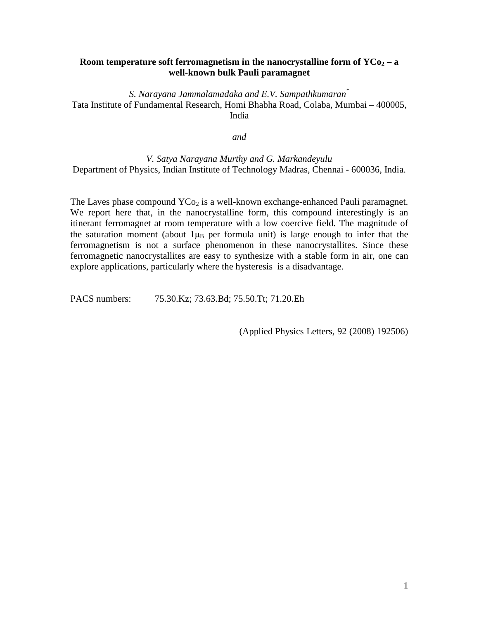## **Room temperature soft ferromagnetism in the nanocrystalline form of**  $YCo<sub>2</sub> - a$ **well-known bulk Pauli paramagnet**

*S. Narayana Jammalamadaka and E.V. Sampathkumaran\**  Tata Institute of Fundamental Research, Homi Bhabha Road, Colaba, Mumbai – 400005, India

*and*

*V. Satya Narayana Murthy and G. Markandeyulu*  Department of Physics, Indian Institute of Technology Madras, Chennai - 600036, India.

The Laves phase compound  $YCo<sub>2</sub>$  is a well-known exchange-enhanced Pauli paramagnet. We report here that, in the nanocrystalline form, this compound interestingly is an itinerant ferromagnet at room temperature with a low coercive field. The magnitude of the saturation moment (about  $1\mu_B$  per formula unit) is large enough to infer that the ferromagnetism is not a surface phenomenon in these nanocrystallites. Since these ferromagnetic nanocrystallites are easy to synthesize with a stable form in air, one can explore applications, particularly where the hysteresis is a disadvantage.

PACS numbers: 75.30.Kz; 73.63.Bd; 75.50.Tt; 71.20.Eh

(Applied Physics Letters, 92 (2008) 192506)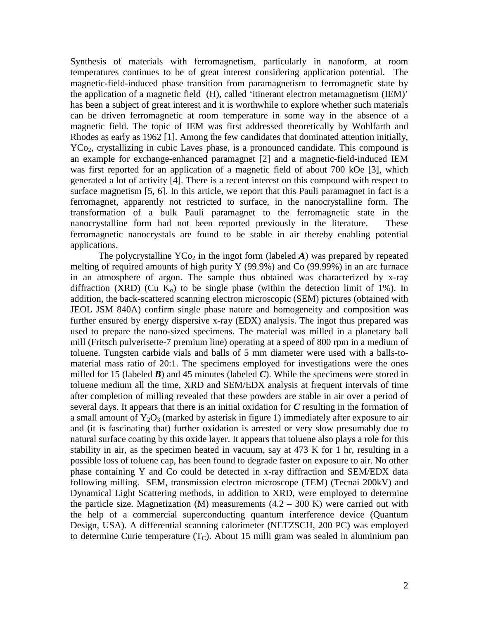Synthesis of materials with ferromagnetism, particularly in nanoform, at room temperatures continues to be of great interest considering application potential. The magnetic-field-induced phase transition from paramagnetism to ferromagnetic state by the application of a magnetic field (H), called 'itinerant electron metamagnetism (IEM)' has been a subject of great interest and it is worthwhile to explore whether such materials can be driven ferromagnetic at room temperature in some way in the absence of a magnetic field. The topic of IEM was first addressed theoretically by Wohlfarth and Rhodes as early as 1962 [1]. Among the few candidates that dominated attention initially, YCo<sub>2</sub>, crystallizing in cubic Laves phase, is a pronounced candidate. This compound is an example for exchange-enhanced paramagnet [2] and a magnetic-field-induced IEM was first reported for an application of a magnetic field of about 700 kOe [3], which generated a lot of activity [4]. There is a recent interest on this compound with respect to surface magnetism [5, 6]. In this article, we report that this Pauli paramagnet in fact is a ferromagnet, apparently not restricted to surface, in the nanocrystalline form. The transformation of a bulk Pauli paramagnet to the ferromagnetic state in the nanocrystalline form had not been reported previously in the literature. These ferromagnetic nanocrystals are found to be stable in air thereby enabling potential applications.

The polycrystalline  $YCo_2$  in the ingot form (labeled A) was prepared by repeated melting of required amounts of high purity Y (99.9%) and Co (99.99%) in an arc furnace in an atmosphere of argon. The sample thus obtained was characterized by x-ray diffraction (XRD) (Cu  $K_{\alpha}$ ) to be single phase (within the detection limit of 1%). In addition, the back-scattered scanning electron microscopic (SEM) pictures (obtained with JEOL JSM 840A) confirm single phase nature and homogeneity and composition was further ensured by energy dispersive x-ray (EDX) analysis. The ingot thus prepared was used to prepare the nano-sized specimens. The material was milled in a planetary ball mill (Fritsch pulverisette-7 premium line) operating at a speed of 800 rpm in a medium of toluene. Tungsten carbide vials and balls of 5 mm diameter were used with a balls-tomaterial mass ratio of 20:1. The specimens employed for investigations were the ones milled for 15 (labeled *B*) and 45 minutes (labeled *C*). While the specimens were stored in toluene medium all the time, XRD and SEM/EDX analysis at frequent intervals of time after completion of milling revealed that these powders are stable in air over a period of several days. It appears that there is an initial oxidation for *C* resulting in the formation of a small amount of  $Y_2O_3$  (marked by asterisk in figure 1) immediately after exposure to air and (it is fascinating that) further oxidation is arrested or very slow presumably due to natural surface coating by this oxide layer. It appears that toluene also plays a role for this stability in air, as the specimen heated in vacuum, say at 473 K for 1 hr, resulting in a possible loss of toluene cap, has been found to degrade faster on exposure to air. No other phase containing Y and Co could be detected in x-ray diffraction and SEM/EDX data following milling. SEM, transmission electron microscope (TEM) (Tecnai 200kV) and Dynamical Light Scattering methods, in addition to XRD, were employed to determine the particle size. Magnetization (M) measurements  $(4.2 - 300 \text{ K})$  were carried out with the help of a commercial superconducting quantum interference device (Quantum Design, USA). A differential scanning calorimeter (NETZSCH, 200 PC) was employed to determine Curie temperature  $(T<sub>C</sub>)$ . About 15 milli gram was sealed in aluminium pan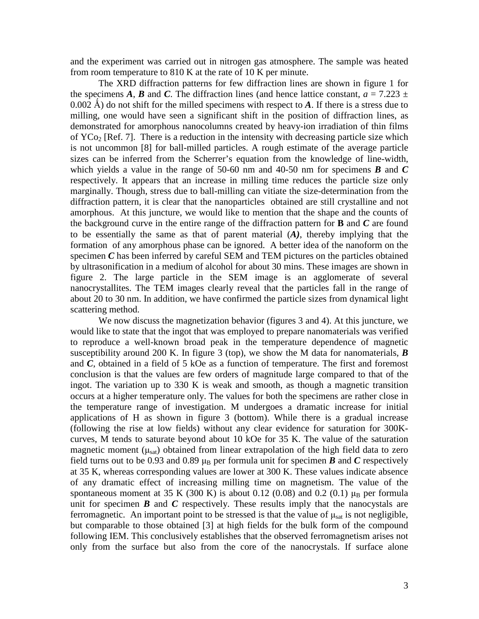and the experiment was carried out in nitrogen gas atmosphere. The sample was heated from room temperature to 810 K at the rate of 10 K per minute.

The XRD diffraction patterns for few diffraction lines are shown in figure 1 for the specimens *A*, *B* and *C*. The diffraction lines (and hence lattice constant,  $a = 7.223 \pm 1.223$ 0.002 Å) do not shift for the milled specimens with respect to  $\vec{A}$ . If there is a stress due to milling, one would have seen a significant shift in the position of diffraction lines, as demonstrated for amorphous nanocolumns created by heavy-ion irradiation of thin films of  $YCo<sub>2</sub>$  [Ref. 7]. There is a reduction in the intensity with decreasing particle size which is not uncommon [8] for ball-milled particles. A rough estimate of the average particle sizes can be inferred from the Scherrer's equation from the knowledge of line-width, which yields a value in the range of 50-60 nm and 40-50 nm for specimens *B* and *C* respectively. It appears that an increase in milling time reduces the particle size only marginally. Though, stress due to ball-milling can vitiate the size-determination from the diffraction pattern, it is clear that the nanoparticles obtained are still crystalline and not amorphous. At this juncture, we would like to mention that the shape and the counts of the background curve in the entire range of the diffraction pattern for **B** and *C* are found to be essentially the same as that of parent material (*A)*, thereby implying that the formation of any amorphous phase can be ignored. A better idea of the nanoform on the specimen *C* has been inferred by careful SEM and TEM pictures on the particles obtained by ultrasonification in a medium of alcohol for about 30 mins. These images are shown in figure 2. The large particle in the SEM image is an agglomerate of several nanocrystallites. The TEM images clearly reveal that the particles fall in the range of about 20 to 30 nm. In addition, we have confirmed the particle sizes from dynamical light scattering method.

We now discuss the magnetization behavior (figures 3 and 4). At this juncture, we would like to state that the ingot that was employed to prepare nanomaterials was verified to reproduce a well-known broad peak in the temperature dependence of magnetic susceptibility around 200 K. In figure 3 (top), we show the M data for nanomaterials,  $\boldsymbol{B}$ and *C*, obtained in a field of 5 kOe as a function of temperature. The first and foremost conclusion is that the values are few orders of magnitude large compared to that of the ingot. The variation up to 330 K is weak and smooth, as though a magnetic transition occurs at a higher temperature only. The values for both the specimens are rather close in the temperature range of investigation. M undergoes a dramatic increase for initial applications of H as shown in figure 3 (bottom). While there is a gradual increase (following the rise at low fields) without any clear evidence for saturation for 300Kcurves, M tends to saturate beyond about 10 kOe for 35 K. The value of the saturation magnetic moment  $(\mu_{sat})$  obtained from linear extrapolation of the high field data to zero field turns out to be 0.93 and 0.89  $\mu_B$  per formula unit for specimen *B* and *C* respectively at 35 K, whereas corresponding values are lower at 300 K. These values indicate absence of any dramatic effect of increasing milling time on magnetism. The value of the spontaneous moment at 35 K (300 K) is about 0.12 (0.08) and 0.2 (0.1)  $\mu_B$  per formula unit for specimen  $\bm{B}$  and  $\bm{C}$  respectively. These results imply that the nanocystals are ferromagnetic. An important point to be stressed is that the value of  $\mu_{sat}$  is not negligible, but comparable to those obtained [3] at high fields for the bulk form of the compound following IEM. This conclusively establishes that the observed ferromagnetism arises not only from the surface but also from the core of the nanocrystals. If surface alone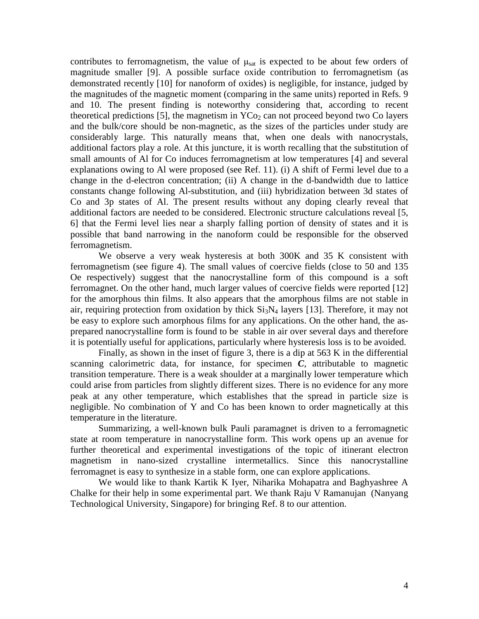contributes to ferromagnetism, the value of  $\mu_{sat}$  is expected to be about few orders of magnitude smaller [9]. A possible surface oxide contribution to ferromagnetism (as demonstrated recently [10] for nanoform of oxides) is negligible, for instance, judged by the magnitudes of the magnetic moment (comparing in the same units) reported in Refs. 9 and 10. The present finding is noteworthy considering that, according to recent theoretical predictions [5], the magnetism in  $YCo<sub>2</sub>$  can not proceed beyond two Co layers and the bulk/core should be non-magnetic, as the sizes of the particles under study are considerably large. This naturally means that, when one deals with nanocrystals, additional factors play a role. At this juncture, it is worth recalling that the substitution of small amounts of Al for Co induces ferromagnetism at low temperatures [4] and several explanations owing to Al were proposed (see Ref. 11). (i) A shift of Fermi level due to a change in the d-electron concentration; (ii) A change in the d-bandwidth due to lattice constants change following Al-substitution, and (iii) hybridization between 3d states of Co and 3p states of Al. The present results without any doping clearly reveal that additional factors are needed to be considered. Electronic structure calculations reveal [5, 6] that the Fermi level lies near a sharply falling portion of density of states and it is possible that band narrowing in the nanoform could be responsible for the observed ferromagnetism.

We observe a very weak hysteresis at both 300K and 35 K consistent with ferromagnetism (see figure 4). The small values of coercive fields (close to 50 and 135 Oe respectively) suggest that the nanocrystalline form of this compound is a soft ferromagnet. On the other hand, much larger values of coercive fields were reported [12] for the amorphous thin films. It also appears that the amorphous films are not stable in air, requiring protection from oxidation by thick  $Si<sub>3</sub>N<sub>4</sub>$  layers [13]. Therefore, it may not be easy to explore such amorphous films for any applications. On the other hand, the asprepared nanocrystalline form is found to be stable in air over several days and therefore it is potentially useful for applications, particularly where hysteresis loss is to be avoided.

Finally, as shown in the inset of figure 3, there is a dip at 563 K in the differential scanning calorimetric data, for instance, for specimen *C*, attributable to magnetic transition temperature. There is a weak shoulder at a marginally lower temperature which could arise from particles from slightly different sizes. There is no evidence for any more peak at any other temperature, which establishes that the spread in particle size is negligible. No combination of Y and Co has been known to order magnetically at this temperature in the literature.

Summarizing, a well-known bulk Pauli paramagnet is driven to a ferromagnetic state at room temperature in nanocrystalline form. This work opens up an avenue for further theoretical and experimental investigations of the topic of itinerant electron magnetism in nano-sized crystalline intermetallics. Since this nanocrystalline ferromagnet is easy to synthesize in a stable form, one can explore applications.

We would like to thank Kartik K Iyer, Niharika Mohapatra and Baghyashree A Chalke for their help in some experimental part. We thank Raju V Ramanujan (Nanyang Technological University, Singapore) for bringing Ref. 8 to our attention.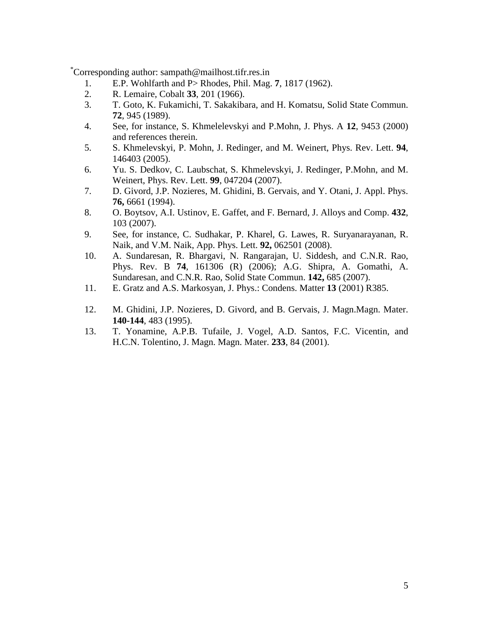\*Corresponding author: sampath@mailhost.tifr.res.in

- 1. E.P. Wohlfarth and P> Rhodes, Phil. Mag. **7**, 1817 (1962).
- 2. R. Lemaire, Cobalt **33**, 201 (1966).
- 3. T. Goto, K. Fukamichi, T. Sakakibara, and H. Komatsu, Solid State Commun. **72**, 945 (1989).
- 4. See, for instance, S. Khmelelevskyi and P.Mohn, J. Phys. A **12**, 9453 (2000) and references therein.
- 5. S. Khmelevskyi, P. Mohn, J. Redinger, and M. Weinert, Phys. Rev. Lett. **94**, 146403 (2005).
- 6. Yu. S. Dedkov, C. Laubschat, S. Khmelevskyi, J. Redinger, P.Mohn, and M. Weinert, Phys. Rev. Lett. **99**, 047204 (2007).
- 7. D. Givord, J.P. Nozieres, M. Ghidini, B. Gervais, and Y. Otani, J. Appl. Phys. **76,** 6661 (1994).
- 8. O. Boytsov, A.I. Ustinov, E. Gaffet, and F. Bernard, J. Alloys and Comp. **432**, 103 (2007).
- 9. See, for instance, C. Sudhakar, P. Kharel, G. Lawes, R. Suryanarayanan, R. Naik, and V.M. Naik, App. Phys. Lett. **92,** 062501 (2008).
- 10. A. Sundaresan, R. Bhargavi, N. Rangarajan, U. Siddesh, and C.N.R. Rao, Phys. Rev. B **74**, 161306 (R) (2006); A.G. Shipra, A. Gomathi, A. Sundaresan, and C.N.R. Rao, Solid State Commun. **142,** 685 (2007).
- 11. E. Gratz and A.S. Markosyan, J. Phys.: Condens. Matter **13** (2001) R385.
- 12. M. Ghidini, J.P. Nozieres, D. Givord, and B. Gervais, J. Magn.Magn. Mater. **140-144**, 483 (1995).
- 13. T. Yonamine, A.P.B. Tufaile, J. Vogel, A.D. Santos, F.C. Vicentin, and H.C.N. Tolentino, J. Magn. Magn. Mater. **233**, 84 (2001).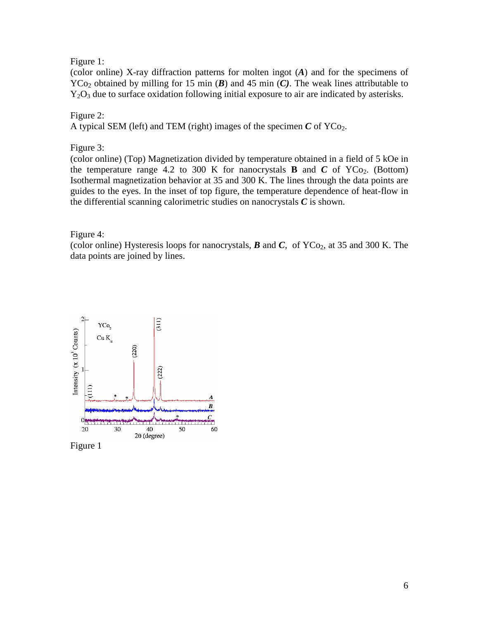## Figure 1:

(color online) X-ray diffraction patterns for molten ingot (*A*) and for the specimens of  $YCo<sub>2</sub>$  obtained by milling for 15 min (*B*) and 45 min (*C*). The weak lines attributable to  $Y_2O_3$  due to surface oxidation following initial exposure to air are indicated by asterisks.

## Figure 2:

A typical SEM (left) and TEM (right) images of the specimen  $C$  of  $YCo<sub>2</sub>$ .

Figure 3:

(color online) (Top) Magnetization divided by temperature obtained in a field of 5 kOe in the temperature range 4.2 to 300 K for nanocrystals **B** and  $C$  of  $YCo_2$ . (Bottom) Isothermal magnetization behavior at 35 and 300 K. The lines through the data points are guides to the eyes. In the inset of top figure, the temperature dependence of heat-flow in the differential scanning calorimetric studies on nanocrystals *C* is shown.

Figure 4:

(color online) Hysteresis loops for nanocrystals,  $\vec{B}$  and  $\vec{C}$ , of YCo<sub>2</sub>, at 35 and 300 K. The data points are joined by lines.



Figure 1